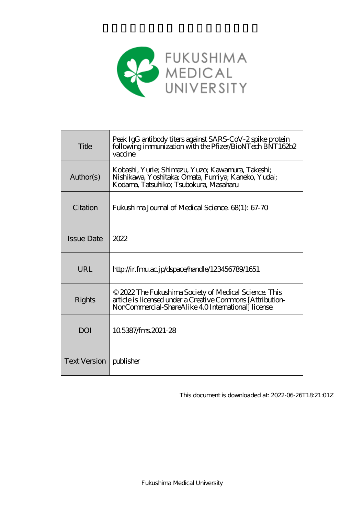

| Title             | Peak IgG antibody titers against SARS-CoV-2 spike protein<br>following immunization with the Pfizer/BioNTech BNT162b2<br>vaccine                                           |
|-------------------|----------------------------------------------------------------------------------------------------------------------------------------------------------------------------|
| Author(s)         | Kobashi, Yurie; Shimazu, Yuzo; Kawamura, Takeshi;<br>Nishikawa, Yoshitaka; Omata, Fumiya; Kaneko, Yudai;<br>Kodama, Tatsuhiko; Tsubokura, Masaharu                         |
| Citation          | Fukushima Journal of Medical Science. 68(1): 67-70                                                                                                                         |
| <b>Issue Date</b> | 2022                                                                                                                                                                       |
| URL               | http://ir.fmu.ac.jp/dspace/handle/123456789/1651                                                                                                                           |
|                   |                                                                                                                                                                            |
| Rights            | © 2022 The Fukushima Society of Medical Science. This<br>article is licensed under a Creative Commons [Attribution-<br>NonCommercial-ShareAlike 4.0 International license. |
| DOI               | 105387/fms2021-28                                                                                                                                                          |

This document is downloaded at: 2022-06-26T18:21:01Z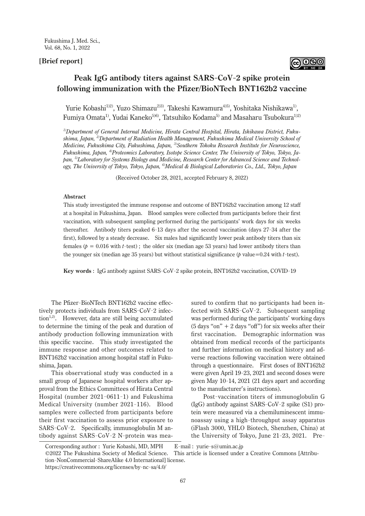## **[Brief report]**



# **Peak IgG antibody titers against SARS-CoV-2 spike protein following immunization with the Pfizer/BioNTech BNT162b2 vaccine**

Yurie Kobashi<sup>1)2)</sup>, Yuzo Shimazu<sup>2)3)</sup>, Takeshi Kawamura<sup>4)5)</sup>, Yoshitaka Nishikawa<sup>1)</sup>, Fumiya Omata<sup>1)</sup>, Yudai Kaneko<sup>5)6)</sup>, Tatsuhiko Kodama<sup>5)</sup> and Masaharu Tsubokura<sup>1)2)</sup>

*1)Department of General Internal Medicine, Hirata Central Hospital, Hirata, Ishikawa District, Fukushima, Japan, 2)Department of Radiation Health Management, Fukushima Medical University School of Medicine, Fukushima City, Fukushima, Japan, 3)Southern Tohoku Research Institute for Neuroscience, Fukushima, Japan, 4)Proteomics Laboratory, Isotope Science Center, The University of Tokyo, Tokyo, Japan, 5)Laboratory for Systems Biology and Medicine, Research Center for Advanced Science and Technology, The University of Tokyo, Tokyo, Japan, 6)Medical & Biological Laboratories Co., Ltd., Tokyo, Japan*

(Received October 28, 2021, accepted February 8, 2022)

## **Abstract**

This study investigated the immune response and outcome of BNT162b2 vaccination among 12 staff at a hospital in Fukushima, Japan. Blood samples were collected from participants before their first vaccination, with subsequent sampling performed during the participants' work days for six weeks thereafter. Antibody titers peaked 6- 13 days after the second vaccination (days 27- 34 after the first), followed by a steady decrease. Six males had significantly lower peak antibody titers than six females  $(p = 0.016$  with *t*-test); the older six (median age 53 years) had lower antibody titers than the younger six (median age 35 years) but without statistical significance (*p* value=0.24 with *t*-test).

**Key words** : IgG antibody against SARS-CoV-2 spike protein, BNT162b2 vaccination, COVID-19

The Pfizer-BioNTech BNT162b2 vaccine effectively protects individuals from SARS-CoV-2 infection<sup>1,2)</sup>. However, data are still being accumulated to determine the timing of the peak and duration of antibody production following immunization with this specific vaccine. This study investigated the immune response and other outcomes related to BNT162b2 vaccination among hospital staff in Fukushima, Japan.

This observational study was conducted in a small group of Japanese hospital workers after approval from the Ethics Committees of Hirata Central Hospital (number 2021-0611-1) and Fukushima Medical University (number 2021-116). Blood samples were collected from participants before their first vaccination to assess prior exposure to SARS-CoV-2. Specifically, immunoglobulin M antibody against SARS-CoV-2 N-protein was measured to confirm that no participants had been infected with SARS-CoV-2. Subsequent sampling was performed during the participants' working days  $(5 \text{ days "on" + 2 \text{ days "off"})$  for six weeks after their first vaccination. Demographic information was obtained from medical records of the participants and further information on medical history and adverse reactions following vaccination were obtained through a questionnaire. First doses of BNT162b2 were given April 19- 23, 2021 and second doses were given May 10- 14, 2021 (21 days apart and according to the manufacturer's instructions).

Post-vaccination titers of immunoglobulin G (IgG) antibody against SARS-CoV-2 spike (S1) protein were measured via a chemiluminescent immunoassay using a high-throughput assay apparatus (iFlash 3000, YHLO Biotech, Shenzhen, China) at the University of Tokyo, June 21- 23, 2021. Pre-

Corresponding author : Yurie Kobashi, MD, MPH mail : yurie-s@umin.ac.jp

©2022 The Fukushima Society of Medical Science. This article is licensed under a Creative Commons [Attribution-NonCommercial-ShareAlike 4.0 International] license. https://creativecommons.org/licenses/by-nc-sa/4.0/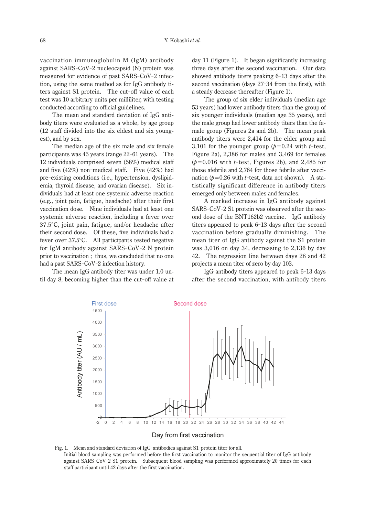vaccination immunoglobulin M (IgM) antibody against SARS-CoV-2 nucleocapsid (N) protein was measured for evidence of past SARS-CoV-2 infection, using the same method as for IgG antibody titers against S1 protein. The cut-off value of each test was 10 arbitrary units per milliliter, with testing conducted according to official guidelines.

The mean and standard deviation of IgG antibody titers were evaluated as a whole, by age group (12 staff divided into the six eldest and six youngest), and by sex.

The median age of the six male and six female participants was 45 years (range 22- 61 years). The 12 individuals comprised seven (58%) medical staff and five (42%) non-medical staff. Five (42%) had pre-existing conditions (i.e., hypertension, dyslipidemia, thyroid disease, and ovarian disease). Six individuals had at least one systemic adverse reaction (e.g., joint pain, fatigue, headache) after their first vaccination dose. Nine individuals had at least one systemic adverse reaction, including a fever over 37.5°C, joint pain, fatigue, and/or headache after their second dose. Of these, five individuals had a fever over 37.5°C. All participants tested negative for IgM antibody against SARS-CoV-2 N protein prior to vaccination ; thus, we concluded that no one had a past SARS-CoV-2 infection history.

The mean IgG antibody titer was under 1.0 until day 8, becoming higher than the cut-off value at

day 11 (Figure 1). It began significantly increasing three days after the second vaccination. Our data showed antibody titers peaking 6- 13 days after the second vaccination (days 27- 34 from the first), with a steady decrease thereafter (Figure 1).

The group of six elder individuals (median age 53 years) had lower antibody titers than the group of six younger individuals (median age 35 years), and the male group had lower antibody titers than the female group (Figures 2a and 2b). The mean peak antibody titers were 2,414 for the elder group and 3,101 for the younger group  $(p=0.24 \text{ with } t\text{-test},$ Figure 2a), 2,386 for males and 3,469 for females  $(p=0.016$  with *t*-test, Figures 2b), and 2,485 for those afebrile and 2,764 for those febrile after vaccination  $(p=0.26 \text{ with } t\text{-test, data not shown)}$ . A statistically significant difference in antibody titers emerged only between males and females.

A marked increase in IgG antibody against SARS-CoV-2 S1 protein was observed after the second dose of the BNT162b2 vaccine. IgG antibody titers appeared to peak 6- 13 days after the second vaccination before gradually diminishing. The mean titer of IgG antibody against the S1 protein was 3,016 on day 34, decreasing to 2,136 by day 42. The regression line between days 28 and 42 projects a mean titer of zero by day 103.

IgG antibody titers appeared to peak 6- 13 days after the second vaccination, with antibody titers



against SARS-CoV-2 S1-protein. Subsequent blood sampling was performed approximately 20 times for each Fig. 1. Mean and standard deviation of IgG-antibodies against S1- protein titer for all. Initial blood sampling was performed before the first vaccination to monitor the sequential titer of IgG antibody staff participant until 42 days after the first vaccination.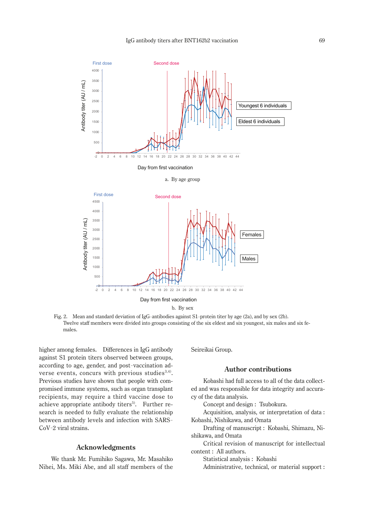



b. By sex

Fig. 2. Mean and standard deviation of IgG-antibodies against S1-protein titer by age (2a), and by sex (2b). Twelve staff members were divided into groups consisting of the six eldest and six youngest, six males and six females.

higher among females. Differences in IgG antibody against S1 protein titers observed between groups, according to age, gender, and post-vaccination adverse events, concurs with previous studies<sup>3,4)</sup>. Previous studies have shown that people with compromised immune systems, such as organ transplant recipients, may require a third vaccine dose to achieve appropriate antibody titers<sup>5)</sup>. Further research is needed to fully evaluate the relationship between antibody levels and infection with SARS-CoV-2 viral strains.

## **Acknowledgments**

We thank Mr. Fumihiko Sagawa, Mr. Masahiko Nihei, Ms. Miki Abe, and all staff members of the Seireikai Group.

#### **Author contributions**

Kobashi had full access to all of the data collected and was responsible for data integrity and accuracy of the data analysis.

Concept and design: Tsubokura.

Acquisition, analysis, or interpretation of data: Kobashi, Nishikawa, and Omata

Drafting of manuscript: Kobashi, Shimazu, Nishikawa, and Omata

Critical revision of manuscript for intellectual content: All authors.

Statistical analysis: Kobashi

Administrative, technical, or material support: